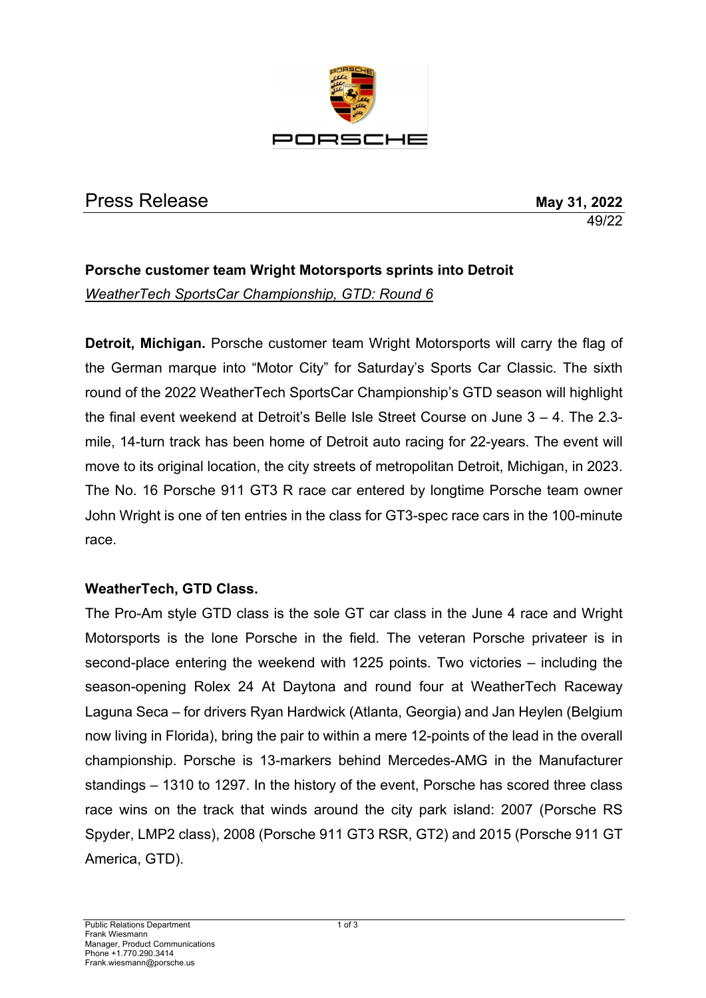

# Press Release **May 31, 2022**

49/22

## **Porsche customer team Wright Motorsports sprints into Detroit** *WeatherTech SportsCar Championship, GTD: Round 6*

**Detroit, Michigan.** Porsche customer team Wright Motorsports will carry the flag of the German marque into "Motor City" for Saturday's Sports Car Classic. The sixth round of the 2022 WeatherTech SportsCar Championship's GTD season will highlight the final event weekend at Detroit's Belle Isle Street Course on June 3 – 4. The 2.3 mile, 14-turn track has been home of Detroit auto racing for 22-years. The event will move to its original location, the city streets of metropolitan Detroit, Michigan, in 2023. The No. 16 Porsche 911 GT3 R race car entered by longtime Porsche team owner John Wright is one of ten entries in the class for GT3-spec race cars in the 100-minute race.

### **WeatherTech, GTD Class.**

The Pro-Am style GTD class is the sole GT car class in the June 4 race and Wright Motorsports is the lone Porsche in the field. The veteran Porsche privateer is in second-place entering the weekend with 1225 points. Two victories – including the season-opening Rolex 24 At Daytona and round four at WeatherTech Raceway Laguna Seca – for drivers Ryan Hardwick (Atlanta, Georgia) and Jan Heylen (Belgium now living in Florida), bring the pair to within a mere 12-points of the lead in the overall championship. Porsche is 13-markers behind Mercedes-AMG in the Manufacturer standings – 1310 to 1297. In the history of the event, Porsche has scored three class race wins on the track that winds around the city park island: 2007 (Porsche RS Spyder, LMP2 class), 2008 (Porsche 911 GT3 RSR, GT2) and 2015 (Porsche 911 GT America, GTD).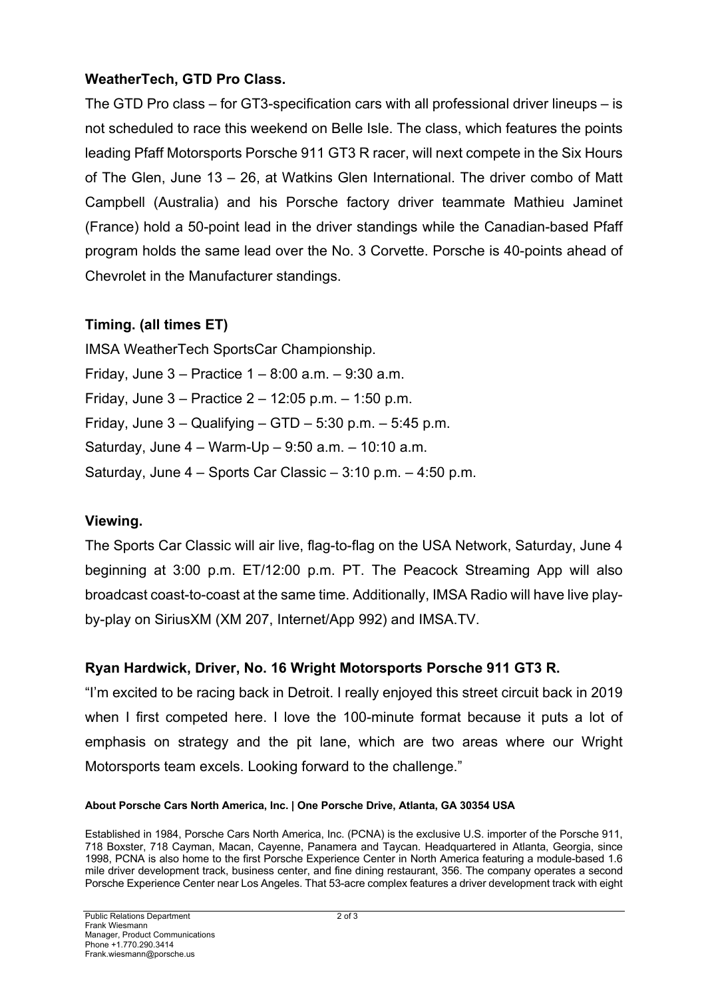### **WeatherTech, GTD Pro Class.**

The GTD Pro class – for GT3-specification cars with all professional driver lineups – is not scheduled to race this weekend on Belle Isle. The class, which features the points leading Pfaff Motorsports Porsche 911 GT3 R racer, will next compete in the Six Hours of The Glen, June 13 – 26, at Watkins Glen International. The driver combo of Matt Campbell (Australia) and his Porsche factory driver teammate Mathieu Jaminet (France) hold a 50-point lead in the driver standings while the Canadian-based Pfaff program holds the same lead over the No. 3 Corvette. Porsche is 40-points ahead of Chevrolet in the Manufacturer standings.

### **Timing. (all times ET)**

IMSA WeatherTech SportsCar Championship. Friday, June  $3 -$  Practice  $1 - 8:00$  a.m.  $- 9:30$  a.m. Friday, June 3 – Practice 2 – 12:05 p.m. – 1:50 p.m. Friday, June  $3 -$  Qualifying  $-$  GTD  $-$  5:30 p.m.  $-$  5:45 p.m. Saturday, June 4 – Warm-Up – 9:50 a.m. – 10:10 a.m. Saturday, June 4 – Sports Car Classic – 3:10 p.m. – 4:50 p.m.

### **Viewing.**

The Sports Car Classic will air live, flag-to-flag on the USA Network, Saturday, June 4 beginning at 3:00 p.m. ET/12:00 p.m. PT. The Peacock Streaming App will also broadcast coast-to-coast at the same time. Additionally, IMSA Radio will have live playby-play on SiriusXM (XM 207, Internet/App 992) and IMSA.TV.

### **Ryan Hardwick, Driver, No. 16 Wright Motorsports Porsche 911 GT3 R.**

"I'm excited to be racing back in Detroit. I really enjoyed this street circuit back in 2019 when I first competed here. I love the 100-minute format because it puts a lot of emphasis on strategy and the pit lane, which are two areas where our Wright Motorsports team excels. Looking forward to the challenge."

#### **About Porsche Cars North America, Inc. | One Porsche Drive, Atlanta, GA 30354 USA**

Established in 1984, Porsche Cars North America, Inc. (PCNA) is the exclusive U.S. importer of the Porsche 911, 718 Boxster, 718 Cayman, Macan, Cayenne, Panamera and Taycan. Headquartered in Atlanta, Georgia, since 1998, PCNA is also home to the first Porsche Experience Center in North America featuring a module-based 1.6 mile driver development track, business center, and fine dining restaurant, 356. The company operates a second Porsche Experience Center near Los Angeles. That 53-acre complex features a driver development track with eight